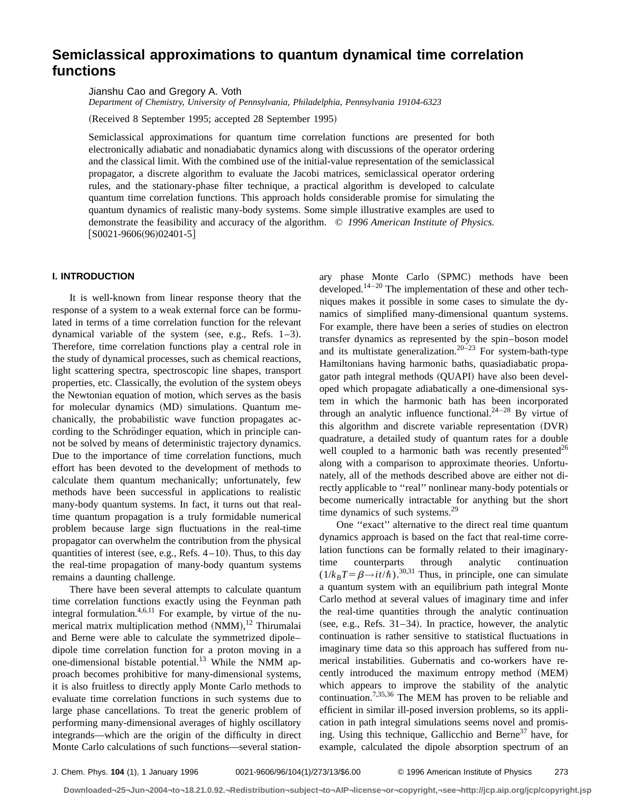# **Semiclassical approximations to quantum dynamical time correlation functions**

Jianshu Cao and Gregory A. Voth

*Department of Chemistry, University of Pennsylvania, Philadelphia, Pennsylvania 19104-6323*

(Received 8 September 1995; accepted 28 September 1995)

Semiclassical approximations for quantum time correlation functions are presented for both electronically adiabatic and nonadiabatic dynamics along with discussions of the operator ordering and the classical limit. With the combined use of the initial-value representation of the semiclassical propagator, a discrete algorithm to evaluate the Jacobi matrices, semiclassical operator ordering rules, and the stationary-phase filter technique, a practical algorithm is developed to calculate quantum time correlation functions. This approach holds considerable promise for simulating the quantum dynamics of realistic many-body systems. Some simple illustrative examples are used to demonstrate the feasibility and accuracy of the algorithm. © *1996 American Institute of Physics.*  $[$ S0021-9606(96)02401-5]

# **I. INTRODUCTION**

It is well-known from linear response theory that the response of a system to a weak external force can be formulated in terms of a time correlation function for the relevant dynamical variable of the system (see, e.g., Refs.  $1-3$ ). Therefore, time correlation functions play a central role in the study of dynamical processes, such as chemical reactions, light scattering spectra, spectroscopic line shapes, transport properties, etc. Classically, the evolution of the system obeys the Newtonian equation of motion, which serves as the basis for molecular dynamics (MD) simulations. Quantum mechanically, the probabilistic wave function propagates according to the Schrödinger equation, which in principle cannot be solved by means of deterministic trajectory dynamics. Due to the importance of time correlation functions, much effort has been devoted to the development of methods to calculate them quantum mechanically; unfortunately, few methods have been successful in applications to realistic many-body quantum systems. In fact, it turns out that realtime quantum propagation is a truly formidable numerical problem because large sign fluctuations in the real-time propagator can overwhelm the contribution from the physical quantities of interest (see, e.g., Refs.  $4 - 10$ ). Thus, to this day the real-time propagation of many-body quantum systems remains a daunting challenge.

There have been several attempts to calculate quantum time correlation functions exactly using the Feynman path integral formulation.<sup>4,6,11</sup> For example, by virtue of the numerical matrix multiplication method  $(NMM)$ ,<sup>12</sup> Thirumalai and Berne were able to calculate the symmetrized dipole– dipole time correlation function for a proton moving in a one-dimensional bistable potential. $13$  While the NMM approach becomes prohibitive for many-dimensional systems, it is also fruitless to directly apply Monte Carlo methods to evaluate time correlation functions in such systems due to large phase cancellations. To treat the generic problem of performing many-dimensional averages of highly oscillatory integrands—which are the origin of the difficulty in direct Monte Carlo calculations of such functions—several stationary phase Monte Carlo (SPMC) methods have been developed.<sup>14-20</sup> The implementation of these and other techniques makes it possible in some cases to simulate the dynamics of simplified many-dimensional quantum systems. For example, there have been a series of studies on electron transfer dynamics as represented by the spin–boson model and its multistate generalization.<sup>20–23</sup> For system-bath-type Hamiltonians having harmonic baths, quasiadiabatic propagator path integral methods (QUAPI) have also been developed which propagate adiabatically a one-dimensional system in which the harmonic bath has been incorporated through an analytic influence functional. $24-28$  By virtue of this algorithm and discrete variable representation (DVR) quadrature, a detailed study of quantum rates for a double well coupled to a harmonic bath was recently presented $^{26}$ along with a comparison to approximate theories. Unfortunately, all of the methods described above are either not directly applicable to ''real'' nonlinear many-body potentials or become numerically intractable for anything but the short time dynamics of such systems.<sup>29</sup>

One ''exact'' alternative to the direct real time quantum dynamics approach is based on the fact that real-time correlation functions can be formally related to their imaginarytime counterparts through analytic continuation  $(1/k_BT=\beta \rightarrow it/\hbar).^{30,31}$  Thus, in principle, one can simulate a quantum system with an equilibrium path integral Monte Carlo method at several values of imaginary time and infer the real-time quantities through the analytic continuation (see, e.g., Refs.  $31-34$ ). In practice, however, the analytic continuation is rather sensitive to statistical fluctuations in imaginary time data so this approach has suffered from numerical instabilities. Gubernatis and co-workers have recently introduced the maximum entropy method (MEM) which appears to improve the stability of the analytic continuation.7,35,36 The MEM has proven to be reliable and efficient in similar ill-posed inversion problems, so its application in path integral simulations seems novel and promising. Using this technique, Gallicchio and Berne $^{37}$  have, for example, calculated the dipole absorption spectrum of an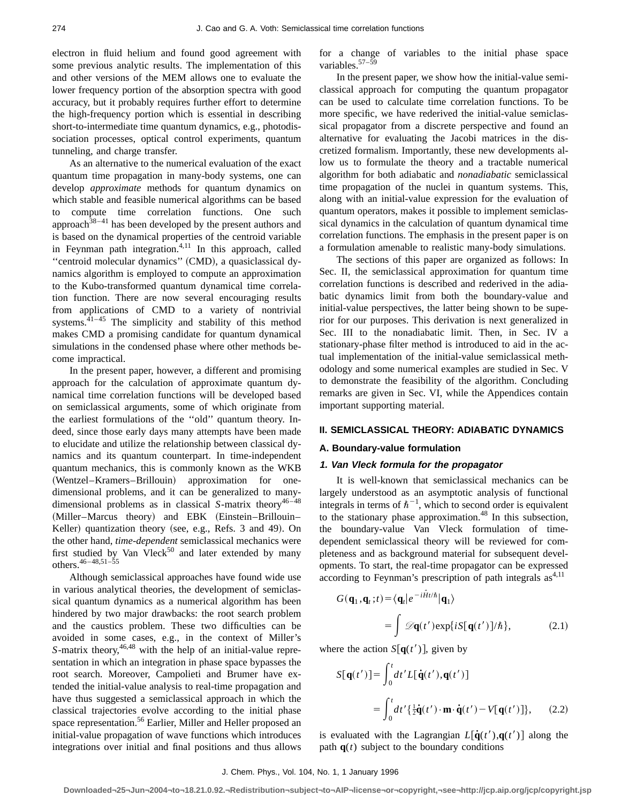electron in fluid helium and found good agreement with some previous analytic results. The implementation of this and other versions of the MEM allows one to evaluate the lower frequency portion of the absorption spectra with good accuracy, but it probably requires further effort to determine the high-frequency portion which is essential in describing short-to-intermediate time quantum dynamics, e.g., photodissociation processes, optical control experiments, quantum tunneling, and charge transfer.

As an alternative to the numerical evaluation of the exact quantum time propagation in many-body systems, one can develop *approximate* methods for quantum dynamics on which stable and feasible numerical algorithms can be based to compute time correlation functions. One such approach $38-41$  has been developed by the present authors and is based on the dynamical properties of the centroid variable in Feynman path integration.<sup>4,11</sup> In this approach, called "centroid molecular dynamics" (CMD), a quasiclassical dynamics algorithm is employed to compute an approximation to the Kubo-transformed quantum dynamical time correlation function. There are now several encouraging results from applications of CMD to a variety of nontrivial systems. $41-45$  The simplicity and stability of this method makes CMD a promising candidate for quantum dynamical simulations in the condensed phase where other methods become impractical.

In the present paper, however, a different and promising approach for the calculation of approximate quantum dynamical time correlation functions will be developed based on semiclassical arguments, some of which originate from the earliest formulations of the ''old'' quantum theory. Indeed, since those early days many attempts have been made to elucidate and utilize the relationship between classical dynamics and its quantum counterpart. In time-independent quantum mechanics, this is commonly known as the WKB (Wentzel–Kramers–Brillouin) approximation for onedimensional problems, and it can be generalized to manydimensional problems as in classical  $S$ -matrix theory<sup>46-48</sup> (Miller–Marcus theory) and EBK (Einstein–Brillouin– Keller) quantization theory (see, e.g., Refs. 3 and 49). On the other hand, *time-dependent* semiclassical mechanics were first studied by Van  $V$ leck<sup>50</sup> and later extended by many others.46 – 48,51–55

Although semiclassical approaches have found wide use in various analytical theories, the development of semiclassical quantum dynamics as a numerical algorithm has been hindered by two major drawbacks: the root search problem and the caustics problem. These two difficulties can be avoided in some cases, e.g., in the context of Miller's *S*-matrix theory, <sup>46,48</sup> with the help of an initial-value representation in which an integration in phase space bypasses the root search. Moreover, Campolieti and Brumer have extended the initial-value analysis to real-time propagation and have thus suggested a semiclassical approach in which the classical trajectories evolve according to the initial phase space representation.<sup>56</sup> Earlier, Miller and Heller proposed an initial-value propagation of wave functions which introduces integrations over initial and final positions and thus allows for a change of variables to the initial phase space variables. $57-59$ 

In the present paper, we show how the initial-value semiclassical approach for computing the quantum propagator can be used to calculate time correlation functions. To be more specific, we have rederived the initial-value semiclassical propagator from a discrete perspective and found an alternative for evaluating the Jacobi matrices in the discretized formalism. Importantly, these new developments allow us to formulate the theory and a tractable numerical algorithm for both adiabatic and *nonadiabatic* semiclassical time propagation of the nuclei in quantum systems. This, along with an initial-value expression for the evaluation of quantum operators, makes it possible to implement semiclassical dynamics in the calculation of quantum dynamical time correlation functions. The emphasis in the present paper is on a formulation amenable to realistic many-body simulations.

The sections of this paper are organized as follows: In Sec. II, the semiclassical approximation for quantum time correlation functions is described and rederived in the adiabatic dynamics limit from both the boundary-value and initial-value perspectives, the latter being shown to be superior for our purposes. This derivation is next generalized in Sec. III to the nonadiabatic limit. Then, in Sec. IV a stationary-phase filter method is introduced to aid in the actual implementation of the initial-value semiclassical methodology and some numerical examples are studied in Sec. V to demonstrate the feasibility of the algorithm. Concluding remarks are given in Sec. VI, while the Appendices contain important supporting material.

#### **II. SEMICLASSICAL THEORY: ADIABATIC DYNAMICS**

#### **A. Boundary-value formulation**

#### **1. Van Vleck formula for the propagator**

It is well-known that semiclassical mechanics can be largely understood as an asymptotic analysis of functional integrals in terms of  $\hbar^{-1}$ , which to second order is equivalent to the stationary phase approximation.<sup>48</sup> In this subsection, the boundary-value Van Vleck formulation of timedependent semiclassical theory will be reviewed for completeness and as background material for subsequent developments. To start, the real-time propagator can be expressed according to Feynman's prescription of path integrals  $as<sup>4,11</sup>$ 

$$
G(\mathbf{q}_1, \mathbf{q}_t; t) = \langle \mathbf{q}_t | e^{-i\hat{H}t/\hbar} | \mathbf{q}_1 \rangle
$$
  
= 
$$
\int \mathcal{D}\mathbf{q}(t') \exp\{iS[\mathbf{q}(t')] / \hbar\},
$$
 (2.1)

where the action  $S[q(t')]$ , given by

$$
S[\mathbf{q}(t')] = \int_0^t dt' L[\dot{\mathbf{q}}(t'), \mathbf{q}(t')] = \int_0^t dt' \{ \frac{1}{2} \dot{\mathbf{q}}(t') \cdot \mathbf{m} \cdot \dot{\mathbf{q}}(t') - V[\mathbf{q}(t')] \},
$$
(2.2)

is evaluated with the Lagrangian  $L[\dot{\mathbf{q}}(t'), \mathbf{q}(t')]$  along the path  $q(t)$  subject to the boundary conditions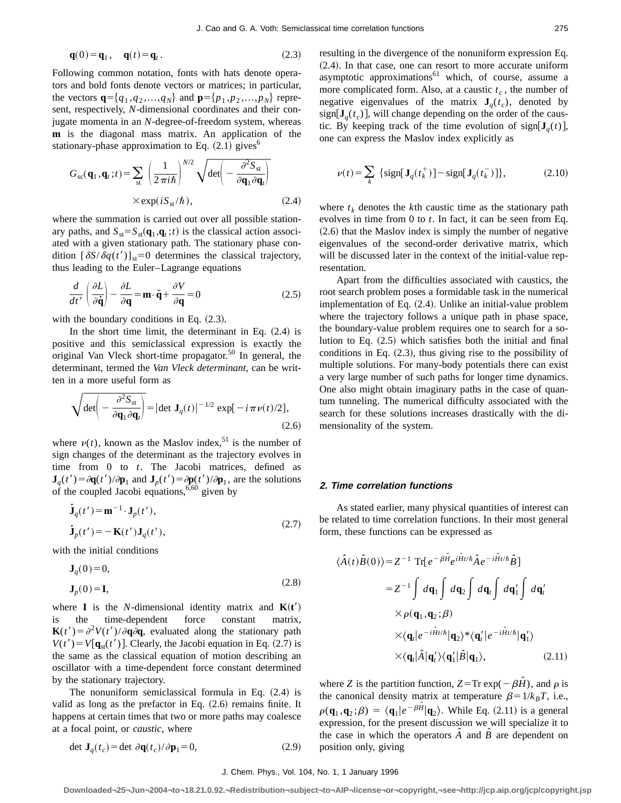$$
\mathbf{q}(0) = \mathbf{q}_1, \quad \mathbf{q}(t) = \mathbf{q}_t. \tag{2.3}
$$

Following common notation, fonts with hats denote operators and bold fonts denote vectors or matrices; in particular, the vectors  ${\bf q} = \{q_1, q_2, ..., q_N\}$  and  ${\bf p} = \{p_1, p_2, ..., p_N\}$  represent, respectively, *N*-dimensional coordinates and their conjugate momenta in an *N*-degree-of-freedom system, whereas **m** is the diagonal mass matrix. An application of the stationary-phase approximation to Eq.  $(2.1)$  gives<sup>6</sup>

$$
G_{\rm sc}(\mathbf{q}_1, \mathbf{q}_t; t) = \sum_{\rm st} \left(\frac{1}{2\pi i\hbar}\right)^{N/2} \sqrt{\det\left(-\frac{\partial^2 S_{\rm st}}{\partial \mathbf{q}_1 \partial \mathbf{q}_t}\right)}
$$
  
× $\exp(i S_{\rm st}/\hbar)$ , (2.4)

where the summation is carried out over all possible stationary paths, and  $S_{st} = S_{st}(\mathbf{q}_1, \mathbf{q}_t; t)$  is the classical action associated with a given stationary path. The stationary phase condition  $\left[\frac{\delta S}{\delta q(t')}\right]_{st}=0$  determines the classical trajectory, thus leading to the Euler–Lagrange equations

$$
\frac{d}{dt'}\left(\frac{\partial L}{\partial \dot{\mathbf{q}}}\right) - \frac{\partial L}{\partial \mathbf{q}} = \mathbf{m} \cdot \ddot{\mathbf{q}} + \frac{\partial V}{\partial \mathbf{q}} = 0
$$
\n(2.5)

with the boundary conditions in Eq.  $(2.3)$ .

In the short time limit, the determinant in Eq.  $(2.4)$  is positive and this semiclassical expression is exactly the original Van Vleck short-time propagator.<sup>50</sup> In general, the determinant, termed the *Van Vleck determinant*, can be written in a more useful form as

$$
\sqrt{\det\left(-\frac{\partial^2 S_{\rm st}}{\partial \mathbf{q}_1 \partial \mathbf{q}_t}\right)} = |\det \mathbf{J}_q(t)|^{-1/2} \exp[-i\pi \nu(t)/2],
$$
\n(2.6)

where  $v(t)$ , known as the Maslov index,<sup>51</sup> is the number of sign changes of the determinant as the trajectory evolves in time from 0 to *t*. The Jacobi matrices, defined as  $J_q(t') = \partial q(t') / \partial p_1$  and  $J_p(t') = \partial p(t') / \partial p_1$ , are the solutions of the coupled Jacobi equations,  $6,60$  given by

$$
\dot{\mathbf{J}}_q(t') = \mathbf{m}^{-1} \cdot \mathbf{J}_p(t'),
$$
\n
$$
\dot{\mathbf{J}}_p(t') = -\mathbf{K}(t')\mathbf{J}_q(t'),
$$
\n(2.7)

with the initial conditions

$$
\mathbf{J}_q(0) = 0,
$$
  

$$
\mathbf{J}_p(0) = \mathbf{I},
$$
 (2.8)

where **I** is the *N*-dimensional identity matrix and  $K(t')$ is the time-dependent force constant matrix,  $\mathbf{K}(t') = \partial^2 V(t') / \partial \mathbf{q} \partial \mathbf{q}$ , evaluated along the stationary path  $V(t') = V[\mathbf{q}_{st}(t')]$ . Clearly, the Jacobi equation in Eq. (2.7) is the same as the classical equation of motion describing an oscillator with a time-dependent force constant determined by the stationary trajectory.

The nonuniform semiclassical formula in Eq.  $(2.4)$  is valid as long as the prefactor in Eq.  $(2.6)$  remains finite. It happens at certain times that two or more paths may coalesce at a focal point, or *caustic*, where

$$
\det \mathbf{J}_q(t_c) = \det \partial \mathbf{q}(t_c) / \partial \mathbf{p}_1 = 0,
$$
\n(2.9)

resulting in the divergence of the nonuniform expression Eq.  $(2.4)$ . In that case, one can resort to more accurate uniform asymptotic approximations<sup>61</sup> which, of course, assume a more complicated form. Also, at a caustic  $t_c$ , the number of negative eigenvalues of the matrix  $J_a(t_c)$ , denoted by  $sign[\mathbf{J}_q(t_c)]$ , will change depending on the order of the caustic. By keeping track of the time evolution of sign[ $J<sub>a</sub>(t)$ ], one can express the Maslov index explicitly as

$$
\nu(t) = \sum_{k} \left\{ \text{sign}[\mathbf{J}_q(t_k^+)] - \text{sign}[\mathbf{J}_q(t_k^-)] \right\},\tag{2.10}
$$

where  $t_k$  denotes the *k*th caustic time as the stationary path evolves in time from 0 to *t*. In fact, it can be seen from Eq.  $(2.6)$  that the Maslov index is simply the number of negative eigenvalues of the second-order derivative matrix, which will be discussed later in the context of the initial-value representation.

Apart from the difficulties associated with caustics, the root search problem poses a formidable task in the numerical implementation of Eq.  $(2.4)$ . Unlike an initial-value problem where the trajectory follows a unique path in phase space, the boundary-value problem requires one to search for a solution to Eq.  $(2.5)$  which satisfies both the initial and final conditions in Eq.  $(2.3)$ , thus giving rise to the possibility of multiple solutions. For many-body potentials there can exist a very large number of such paths for longer time dynamics. One also might obtain imaginary paths in the case of quantum tunneling. The numerical difficulty associated with the search for these solutions increases drastically with the dimensionality of the system.

# **2. Time correlation functions**

As stated earlier, many physical quantities of interest can be related to time correlation functions. In their most general form, these functions can be expressed as

$$
\langle \hat{A}(t)\hat{B}(0)\rangle = Z^{-1} \operatorname{Tr} [e^{-\beta \hat{H}} e^{i\hat{H}t/\hbar} \hat{A} e^{-i\hat{H}t/\hbar} \hat{B}]
$$
  
\n
$$
= Z^{-1} \int d\mathbf{q}_{1} \int d\mathbf{q}_{2} \int d\mathbf{q}_{1} \int d\mathbf{q}'_{1} \int d\mathbf{q}'_{1}
$$
  
\n
$$
\times \rho(\mathbf{q}_{1}, \mathbf{q}_{2}; \beta)
$$
  
\n
$$
\times \langle \mathbf{q}_{t} | e^{-i\hat{H}t/\hbar} | \mathbf{q}_{2} \rangle^{*} \langle \mathbf{q}'_{t} | e^{-i\hat{H}t/\hbar} | \mathbf{q}'_{1} \rangle
$$
  
\n
$$
\times \langle \mathbf{q}_{t} | \hat{A} | \mathbf{q}'_{t} \rangle \langle \mathbf{q}'_{1} | \hat{B} | \mathbf{q}_{1} \rangle, \qquad (2.11)
$$

where *Z* is the partition function,  $Z = Tr \exp(-\beta \hat{H})$ , and  $\rho$  is the canonical density matrix at temperature  $\beta = 1/k_BT$ , i.e.,  $\rho(\mathbf{q}_1, \mathbf{q}_2; \beta) = \langle \mathbf{q}_1 | e^{-\beta \hat{H}} | \mathbf{q}_2 \rangle$ . While Eq. (2.11) is a general expression, for the present discussion we will specialize it to the case in which the operators  $\hat{A}$  and  $\hat{B}$  are dependent on position only, giving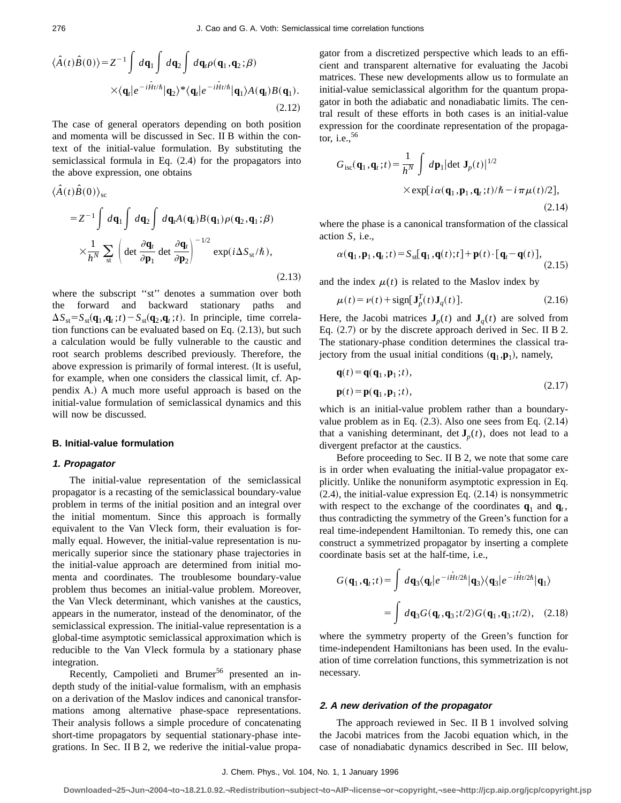$$
\langle \hat{A}(t)\hat{B}(0)\rangle = Z^{-1} \int d\mathbf{q}_1 \int d\mathbf{q}_2 \int d\mathbf{q}_i \rho(\mathbf{q}_1, \mathbf{q}_2; \beta)
$$
  
 
$$
\times \langle \mathbf{q}_i | e^{-i\hat{H}t/\hbar} | \mathbf{q}_2 \rangle^* \langle \mathbf{q}_i | e^{-i\hat{H}t/\hbar} | \mathbf{q}_1 \rangle A(\mathbf{q}_i) B(\mathbf{q}_1).
$$
(2.12)

The case of general operators depending on both position and momenta will be discussed in Sec. II B within the context of the initial-value formulation. By substituting the semiclassical formula in Eq.  $(2.4)$  for the propagators into the above expression, one obtains

$$
\langle \hat{A}(t)\hat{B}(0)\rangle_{\rm sc}
$$
  
=  $Z^{-1} \int d\mathbf{q}_1 \int d\mathbf{q}_2 \int d\mathbf{q}_1 A(\mathbf{q}_t) B(\mathbf{q}_1) \rho(\mathbf{q}_2, \mathbf{q}_1; \beta)$   

$$
\times \frac{1}{h^N} \sum_{\rm st} \left( \det \frac{\partial \mathbf{q}_t}{\partial \mathbf{p}_1} \det \frac{\partial \mathbf{q}_t}{\partial \mathbf{p}_2} \right)^{-1/2} \exp(i \Delta S_{\rm st} / \hbar),
$$
(2.13)

where the subscript "st" denotes a summation over both the forward and backward stationary paths and  $\Delta S_{st} = S_{st}(\mathbf{q}_1, \mathbf{q}_t; t) - S_{st}(\mathbf{q}_2, \mathbf{q}_t; t)$ . In principle, time correlation functions can be evaluated based on Eq.  $(2.13)$ , but such a calculation would be fully vulnerable to the caustic and root search problems described previously. Therefore, the above expression is primarily of formal interest. (It is useful, for example, when one considers the classical limit, cf. Appendix A.) A much more useful approach is based on the initial-value formulation of semiclassical dynamics and this will now be discussed.

## **B. Initial-value formulation**

#### **1. Propagator**

The initial-value representation of the semiclassical propagator is a recasting of the semiclassical boundary-value problem in terms of the initial position and an integral over the initial momentum. Since this approach is formally equivalent to the Van Vleck form, their evaluation is formally equal. However, the initial-value representation is numerically superior since the stationary phase trajectories in the initial-value approach are determined from initial momenta and coordinates. The troublesome boundary-value problem thus becomes an initial-value problem. Moreover, the Van Vleck determinant, which vanishes at the caustics, appears in the numerator, instead of the denominator, of the semiclassical expression. The initial-value representation is a global-time asymptotic semiclassical approximation which is reducible to the Van Vleck formula by a stationary phase integration.

Recently, Campolieti and Brumer<sup>56</sup> presented an indepth study of the initial-value formalism, with an emphasis on a derivation of the Maslov indices and canonical transformations among alternative phase-space representations. Their analysis follows a simple procedure of concatenating short-time propagators by sequential stationary-phase integrations. In Sec. II B 2, we rederive the initial-value propagator from a discretized perspective which leads to an efficient and transparent alternative for evaluating the Jacobi matrices. These new developments allow us to formulate an initial-value semiclassical algorithm for the quantum propagator in both the adiabatic and nonadiabatic limits. The central result of these efforts in both cases is an initial-value expression for the coordinate representation of the propagator, i.e.,  $56$ 

$$
G_{\text{isc}}(\mathbf{q}_1, \mathbf{q}_t; t) = \frac{1}{h^N} \int d\mathbf{p}_1 |\det \mathbf{J}_p(t)|^{1/2}
$$
  
× $\exp[i\alpha(\mathbf{q}_1, \mathbf{p}_1, \mathbf{q}_t; t)/\hbar - i\pi\mu(t)/2],$  (2.14)

where the phase is a canonical transformation of the classical action *S*, i.e.,

$$
\alpha(\mathbf{q}_1, \mathbf{p}_1, \mathbf{q}_t; t) = S_{\text{st}}[\mathbf{q}_1, \mathbf{q}(t); t] + \mathbf{p}(t) \cdot [\mathbf{q}_t - \mathbf{q}(t)],
$$
\n(2.15)

and the index  $\mu(t)$  is related to the Maslov index by

$$
\mu(t) = \nu(t) + \text{sign}[\mathbf{J}_p^T(t)\mathbf{J}_q(t)].
$$
\n(2.16)

Here, the Jacobi matrices  $J_p(t)$  and  $J_q(t)$  are solved from Eq.  $(2.7)$  or by the discrete approach derived in Sec. II B 2. The stationary-phase condition determines the classical trajectory from the usual initial conditions  $(\mathbf{q}_1, \mathbf{p}_1)$ , namely,

$$
\mathbf{q}(t) = \mathbf{q}(\mathbf{q}_1, \mathbf{p}_1; t),
$$
  
\n
$$
\mathbf{p}(t) = \mathbf{p}(\mathbf{q}_1, \mathbf{p}_1; t),
$$
\n(2.17)

which is an initial-value problem rather than a boundaryvalue problem as in Eq.  $(2.3)$ . Also one sees from Eq.  $(2.14)$ that a vanishing determinant, det  $J_p(t)$ , does not lead to a divergent prefactor at the caustics.

Before proceeding to Sec. II B 2, we note that some care is in order when evaluating the initial-value propagator explicitly. Unlike the nonuniform asymptotic expression in Eq.  $(2.4)$ , the initial-value expression Eq.  $(2.14)$  is nonsymmetric with respect to the exchange of the coordinates  $q_1$  and  $q_t$ , thus contradicting the symmetry of the Green's function for a real time-independent Hamiltonian. To remedy this, one can construct a symmetrized propagator by inserting a complete coordinate basis set at the half-time, i.e.,

$$
G(\mathbf{q}_1, \mathbf{q}_t; t) = \int d\mathbf{q}_3 \langle \mathbf{q}_t | e^{-i\hat{H}t/2\hbar} | \mathbf{q}_3 \rangle \langle \mathbf{q}_3 | e^{-i\hat{H}t/2\hbar} | \mathbf{q}_1 \rangle
$$
  
= 
$$
\int d\mathbf{q}_3 G(\mathbf{q}_t, \mathbf{q}_3; t/2) G(\mathbf{q}_1, \mathbf{q}_3; t/2), \quad (2.18)
$$

where the symmetry property of the Green's function for time-independent Hamiltonians has been used. In the evaluation of time correlation functions, this symmetrization is not necessary.

#### **2. A new derivation of the propagator**

The approach reviewed in Sec. II B 1 involved solving the Jacobi matrices from the Jacobi equation which, in the case of nonadiabatic dynamics described in Sec. III below,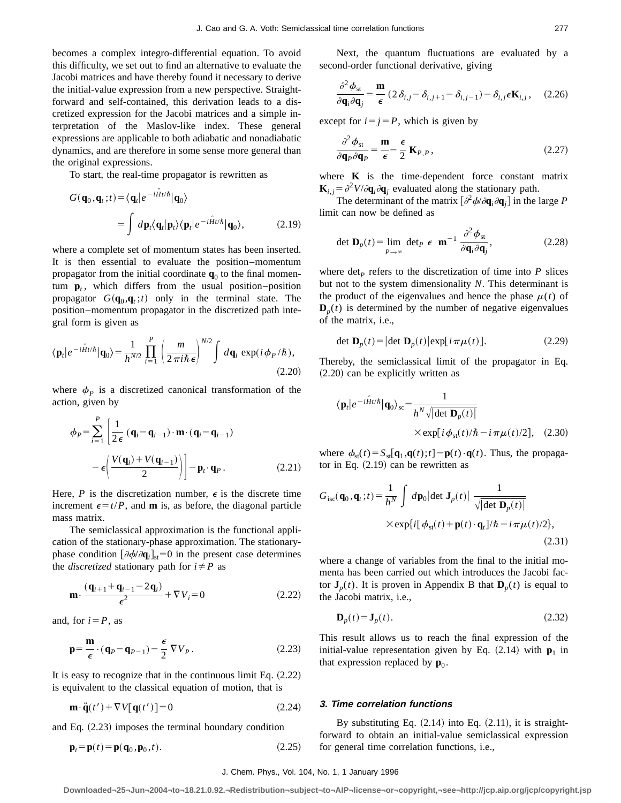becomes a complex integro-differential equation. To avoid this difficulty, we set out to find an alternative to evaluate the Jacobi matrices and have thereby found it necessary to derive the initial-value expression from a new perspective. Straightforward and self-contained, this derivation leads to a discretized expression for the Jacobi matrices and a simple interpretation of the Maslov-like index. These general expressions are applicable to both adiabatic and nonadiabatic dynamics, and are therefore in some sense more general than the original expressions.

To start, the real-time propagator is rewritten as

$$
G(\mathbf{q}_0, \mathbf{q}_t; t) = \langle \mathbf{q}_t | e^{-i\hat{H}t/\hbar} | \mathbf{q}_0 \rangle
$$
  
= 
$$
\int d\mathbf{p}_t \langle \mathbf{q}_t | \mathbf{p}_t \rangle \langle \mathbf{p}_t | e^{-i\hat{H}t/\hbar} | \mathbf{q}_0 \rangle, \qquad (2.19)
$$

where a complete set of momentum states has been inserted. It is then essential to evaluate the position–momentum propagator from the initial coordinate  $q_0$  to the final momentum  $\mathbf{p}_t$ , which differs from the usual position–position propagator  $G(\mathbf{q}_0, \mathbf{q}_t; t)$  only in the terminal state. The position–momentum propagator in the discretized path integral form is given as

$$
\langle \mathbf{p}_t | e^{-i\hat{H}t/\hbar} | \mathbf{q}_0 \rangle = \frac{1}{h^{N/2}} \prod_{i=1}^P \left( \frac{m}{2\pi i \hbar \epsilon} \right)^{N/2} \int d\mathbf{q}_i \, \exp(i\,\phi_P/\hbar), \tag{2.20}
$$

where  $\phi$ <sub>*P*</sub> is a discretized canonical transformation of the action, given by

$$
\phi_P = \sum_{i=1}^P \left[ \frac{1}{2\epsilon} \left( \mathbf{q}_i - \mathbf{q}_{i-1} \right) \cdot \mathbf{m} \cdot \left( \mathbf{q}_i - \mathbf{q}_{i-1} \right) - \epsilon \left( \frac{V(\mathbf{q}_i) + V(\mathbf{q}_{i-1})}{2} \right) \right] - \mathbf{p}_t \cdot \mathbf{q}_P. \tag{2.21}
$$

Here, *P* is the discretization number,  $\epsilon$  is the discrete time increment  $\epsilon = t/P$ , and **m** is, as before, the diagonal particle mass matrix.

The semiclassical approximation is the functional application of the stationary-phase approximation. The stationaryphase condition  $\left[\frac{\partial \phi}{\partial q_i}\right]_{st} = 0$  in the present case determines the *discretized* stationary path for  $i \neq P$  as

$$
\mathbf{m} \cdot \frac{(\mathbf{q}_{i+1} + \mathbf{q}_{i-1} - 2\mathbf{q}_i)}{\epsilon^2} + \nabla V_i = 0
$$
 (2.22)

and, for  $i = P$ , as

$$
\mathbf{p} = \frac{\mathbf{m}}{\epsilon} \cdot (\mathbf{q}_P - \mathbf{q}_{P-1}) - \frac{\epsilon}{2} \nabla V_P. \tag{2.23}
$$

It is easy to recognize that in the continuous limit Eq.  $(2.22)$ is equivalent to the classical equation of motion, that is

$$
\mathbf{m} \cdot \ddot{\mathbf{q}}(t') + \nabla V[\mathbf{q}(t')] = 0 \tag{2.24}
$$

and Eq.  $(2.23)$  imposes the terminal boundary condition

$$
\mathbf{p}_t = \mathbf{p}(t) = \mathbf{p}(\mathbf{q}_0, \mathbf{p}_0, t). \tag{2.25}
$$

Next, the quantum fluctuations are evaluated by a second-order functional derivative, giving

$$
\frac{\partial^2 \phi_{st}}{\partial q_i \partial q_j} = \frac{\mathbf{m}}{\epsilon} \left( 2 \delta_{i,j} - \delta_{i,j+1} - \delta_{i,j-1} \right) - \delta_{i,j} \epsilon \mathbf{K}_{i,j}, \quad (2.26)
$$

except for  $i=j=P$ , which is given by

$$
\frac{\partial^2 \phi_{\rm st}}{\partial \mathbf{q}_P \partial \mathbf{q}_P} = \frac{\mathbf{m}}{\epsilon} - \frac{\epsilon}{2} \mathbf{K}_{P,P},
$$
(2.27)

where **K** is the time-dependent force constant matrix  $\mathbf{K}_{i,j} = \partial^2 V / \partial \mathbf{q}_i \partial \mathbf{q}_j$  evaluated along the stationary path.

The determinant of the matrix  $\left[ \frac{\partial^2 \phi}{\partial \mathbf{q}_i} \frac{\partial \mathbf{q}_j}{\partial \mathbf{q}_j} \right]$  in the large *P* limit can now be defined as

$$
\det \mathbf{D}_p(t) = \lim_{P \to \infty} \det_P \epsilon \mathbf{m}^{-1} \frac{\partial^2 \phi_{\text{st}}}{\partial \mathbf{q}_i \partial \mathbf{q}_j},
$$
 (2.28)

where  $\det_P$  refers to the discretization of time into *P* slices but not to the system dimensionality *N*. This determinant is the product of the eigenvalues and hence the phase  $\mu(t)$  of  $\mathbf{D}_p(t)$  is determined by the number of negative eigenvalues of the matrix, i.e.,

$$
\det \mathbf{D}_p(t) = |\det \mathbf{D}_p(t)| \exp[i\pi\mu(t)]. \tag{2.29}
$$

Thereby, the semiclassical limit of the propagator in Eq.  $(2.20)$  can be explicitly written as

$$
\langle \mathbf{p}_t | e^{-i\hat{H}t/\hbar} | \mathbf{q}_0 \rangle_{\text{sc}} = \frac{1}{h^N \sqrt{|\det \mathbf{D}_p(t)|}} \times \exp[i \phi_{\text{st}}(t)/\hbar - i \pi \mu(t)/2], \quad (2.30)
$$

where  $\phi_{st}(t) = S_{st}[\mathbf{q}_1, \mathbf{q}(t); t] - \mathbf{p}(t) \cdot \mathbf{q}(t)$ . Thus, the propagator in Eq.  $(2.19)$  can be rewritten as

$$
G_{\text{isc}}(\mathbf{q}_0, \mathbf{q}_t; t) = \frac{1}{h^N} \int d\mathbf{p}_0 |\det \mathbf{J}_p(t)| \frac{1}{\sqrt{|\det \mathbf{D}_p(t)|}}
$$
  
× $\exp\{i[\phi_{\text{st}}(t) + \mathbf{p}(t) \cdot \mathbf{q}_t]/\hbar - i\pi \mu(t)/2\},$  (2.31)

where a change of variables from the final to the initial momenta has been carried out which introduces the Jacobi factor  $J_p(t)$ . It is proven in Appendix B that  $D_p(t)$  is equal to the Jacobi matrix, i.e.,

$$
\mathbf{D}_p(t) = \mathbf{J}_p(t). \tag{2.32}
$$

This result allows us to reach the final expression of the initial-value representation given by Eq.  $(2.14)$  with  $p_1$  in that expression replaced by  $\mathbf{p}_0$ .

## **3. Time correlation functions**

By substituting Eq.  $(2.14)$  into Eq.  $(2.11)$ , it is straightforward to obtain an initial-value semiclassical expression for general time correlation functions, i.e.,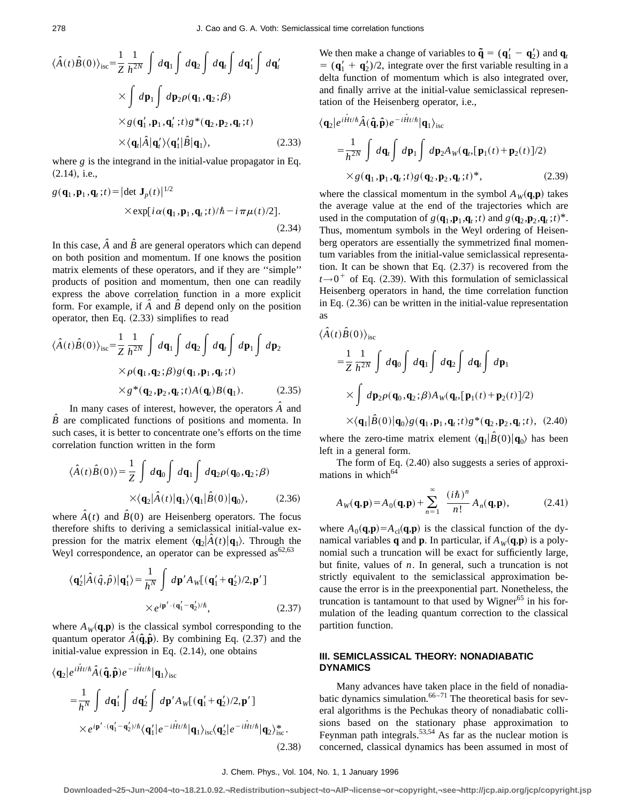$$
\langle \hat{A}(t)\hat{B}(0)\rangle_{\text{isc}} = \frac{1}{Z} \frac{1}{h^{2N}} \int d\mathbf{q}_{1} \int d\mathbf{q}_{2} \int d\mathbf{q}_{t} \int d\mathbf{q}'_{1} \int d\mathbf{q}'_{t}
$$

$$
\times \int d\mathbf{p}_{1} \int d\mathbf{p}_{2} \rho(\mathbf{q}_{1}, \mathbf{q}_{2}; \beta)
$$

$$
\times g(\mathbf{q}'_{1}, \mathbf{p}_{1}, \mathbf{q}'_{t}; t) g^{*}(\mathbf{q}_{2}, \mathbf{p}_{2}, \mathbf{q}_{t}; t)
$$

$$
\times \langle \mathbf{q}_{t} | \hat{A} | \mathbf{q}'_{t} \rangle \langle \mathbf{q}'_{1} | \hat{B} | \mathbf{q}_{1} \rangle, \qquad (2.33)
$$

where *g* is the integrand in the initial-value propagator in Eq.  $(2.14)$ , i.e.,

$$
g(\mathbf{q}_1, \mathbf{p}_1, \mathbf{q}_t; t) = |\det \mathbf{J}_p(t)|^{1/2}
$$
  
 
$$
\times \exp[i\alpha(\mathbf{q}_1, \mathbf{p}_1, \mathbf{q}_t; t)/\hbar - i\pi\mu(t)/2].
$$
 (2.34)

In this case,  $\hat{A}$  and  $\hat{B}$  are general operators which can depend on both position and momentum. If one knows the position matrix elements of these operators, and if they are ''simple'' products of position and momentum, then one can readily express the above correlation function in a more explicit form. For example, if *Aˆ* and *Bˆ* depend only on the position operator, then Eq.  $(2.33)$  simplifies to read

$$
\langle \hat{A}(t)\hat{B}(0)\rangle_{\text{isc}} = \frac{1}{Z} \frac{1}{h^{2N}} \int d\mathbf{q}_1 \int d\mathbf{q}_2 \int d\mathbf{q}_t \int d\mathbf{p}_1 \int d\mathbf{p}_2
$$
  
 
$$
\times \rho(\mathbf{q}_1, \mathbf{q}_2; \beta) g(\mathbf{q}_1, \mathbf{p}_1, \mathbf{q}_t; t)
$$
  
 
$$
\times g^*(\mathbf{q}_2, \mathbf{p}_2, \mathbf{q}_t; t) A(\mathbf{q}_t) B(\mathbf{q}_1). \qquad (2.35)
$$

In many cases of interest, however, the operators *Aˆ* and *B*<sup> $B$ </sup> are complicated functions of positions and momenta. In such cases, it is better to concentrate one's efforts on the time correlation function written in the form

$$
\langle \hat{A}(t)\hat{B}(0)\rangle = \frac{1}{Z} \int d\mathbf{q}_0 \int d\mathbf{q}_1 \int d\mathbf{q}_2 \rho(\mathbf{q}_0, \mathbf{q}_2; \beta)
$$

$$
\times \langle \mathbf{q}_2 | \hat{A}(t) | \mathbf{q}_1 \rangle \langle \mathbf{q}_1 | \hat{B}(0) | \mathbf{q}_0 \rangle, \qquad (2.36)
$$

where  $\hat{A}(t)$  and  $\hat{B}(0)$  are Heisenberg operators. The focus therefore shifts to deriving a semiclassical initial-value expression for the matrix element  $\langle \mathbf{q}_2 | \hat{A}(t) | \mathbf{q}_1 \rangle$ . Through the Weyl correspondence, an operator can be expressed as  $62,63$ 

$$
\langle \mathbf{q}'_2 | \hat{A}(\hat{q}, \hat{p}) | \mathbf{q}'_1 \rangle = \frac{1}{h^N} \int d\mathbf{p}' A_W [(\mathbf{q}'_1 + \mathbf{q}'_2)/2, \mathbf{p}' ]
$$
  
 
$$
\times e^{i \mathbf{p}' \cdot (\mathbf{q}'_1 - \mathbf{q}'_2)/\hbar}, \qquad (2.37)
$$

where  $A_W(\mathbf{q},\mathbf{p})$  is the classical symbol corresponding to the quantum operator  $\hat{A}(\hat{\mathbf{q}}, \hat{\mathbf{p}})$ . By combining Eq. (2.37) and the initial-value expression in Eq.  $(2.14)$ , one obtains

$$
\langle \mathbf{q}_2 | e^{i\hat{H}t/\hbar} \hat{A} (\hat{\mathbf{q}}, \hat{\mathbf{p}}) e^{-i\hat{H}t/\hbar} | \mathbf{q}_1 \rangle_{\text{isc}}
$$
  
\n
$$
= \frac{1}{h^N} \int d\mathbf{q}'_1 \int d\mathbf{q}'_2 \int d\mathbf{p}' A_W [(\mathbf{q}'_1 + \mathbf{q}'_2)/2, \mathbf{p}' ]
$$
  
\n
$$
\times e^{i\mathbf{p}' \cdot (\mathbf{q}'_1 - \mathbf{q}'_2)/\hbar} \langle \mathbf{q}'_1 | e^{-i\hat{H}t/\hbar} | \mathbf{q}_1 \rangle_{\text{isc}} \langle \mathbf{q}'_2 | e^{-i\hat{H}t/\hbar} | \mathbf{q}_2 \rangle_{\text{isc}}^*.
$$
\n(2.38)

We then make a change of variables to  $\tilde{\mathbf{q}} = (\mathbf{q}'_1 - \mathbf{q}'_2)$  and  $\mathbf{q}_t$  $= (\mathbf{q}'_1 + \mathbf{q}'_2)/2$ , integrate over the first variable resulting in a delta function of momentum which is also integrated over, and finally arrive at the initial-value semiclassical representation of the Heisenberg operator, i.e.,

$$
\langle \mathbf{q}_2 | e^{i\hat{H}t/\hbar} \hat{A} (\hat{\mathbf{q}}, \hat{\mathbf{p}}) e^{-i\hat{H}t/\hbar} | \mathbf{q}_1 \rangle_{\text{isc}}
$$
  
\n
$$
= \frac{1}{h^{2N}} \int d\mathbf{q}_t \int d\mathbf{p}_1 \int d\mathbf{p}_2 A_W(\mathbf{q}_t, [\mathbf{p}_1(t) + \mathbf{p}_2(t)]/2)
$$
  
\n
$$
\times g(\mathbf{q}_1, \mathbf{p}_1, \mathbf{q}_t; t) g(\mathbf{q}_2, \mathbf{p}_2, \mathbf{q}_t; t)^*,
$$
\n(2.39)

where the classical momentum in the symbol  $A_W(\mathbf{q},\mathbf{p})$  takes the average value at the end of the trajectories which are used in the computation of  $g(\mathbf{q}_1, \mathbf{p}_1, \mathbf{q}_t; t)$  and  $g(\mathbf{q}_2, \mathbf{p}_2, \mathbf{q}_t; t)^*$ . Thus, momentum symbols in the Weyl ordering of Heisenberg operators are essentially the symmetrized final momentum variables from the initial-value semiclassical representation. It can be shown that Eq.  $(2.37)$  is recovered from the  $t\rightarrow 0^+$  of Eq. (2.39). With this formulation of semiclassical Heisenberg operators in hand, the time correlation function in Eq.  $(2.36)$  can be written in the initial-value representation as

$$
\langle \hat{A}(t)\hat{B}(0)\rangle_{\text{isc}}
$$
\n
$$
= \frac{1}{Z} \frac{1}{h^{2N}} \int d\mathbf{q}_0 \int d\mathbf{q}_1 \int d\mathbf{q}_2 \int d\mathbf{q}_1 \int d\mathbf{p}_1
$$
\n
$$
\times \int d\mathbf{p}_2 \rho(\mathbf{q}_0, \mathbf{q}_2; \beta) A_W(\mathbf{q}_t, [\mathbf{p}_1(t) + \mathbf{p}_2(t)]/2)
$$
\n
$$
\times \langle \mathbf{q}_1 | \hat{B}(0) | \mathbf{q}_0 \rangle g(\mathbf{q}_1, \mathbf{p}_1, \mathbf{q}_t; t) g^*(\mathbf{q}_2, \mathbf{p}_2, \mathbf{q}_t; t), (2.40)
$$

where the zero-time matrix element  $\langle \mathbf{q}_1 | \hat{B}(0) | \mathbf{q}_0 \rangle$  has been left in a general form.

The form of Eq.  $(2.40)$  also suggests a series of approximations in which $64$ 

$$
A_W(\mathbf{q}, \mathbf{p}) = A_0(\mathbf{q}, \mathbf{p}) + \sum_{n=1}^{\infty} \frac{(i\hbar)^n}{n!} A_n(\mathbf{q}, \mathbf{p}),
$$
 (2.41)

where  $A_0(\mathbf{q}, \mathbf{p}) = A_{cl}(\mathbf{q}, \mathbf{p})$  is the classical function of the dynamical variables **q** and **p**. In particular, if  $A_W(\mathbf{q}, \mathbf{p})$  is a polynomial such a truncation will be exact for sufficiently large, but finite, values of *n*. In general, such a truncation is not strictly equivalent to the semiclassical approximation because the error is in the preexponential part. Nonetheless, the truncation is tantamount to that used by Wigner $65$  in his formulation of the leading quantum correction to the classical partition function.

# **III. SEMICLASSICAL THEORY: NONADIABATIC DYNAMICS**

Many advances have taken place in the field of nonadiabatic dynamics simulation.<sup>66-71</sup> The theoretical basis for several algorithms is the Pechukas theory of nonadiabatic collisions based on the stationary phase approximation to Feynman path integrals.<sup>53,54</sup> As far as the nuclear motion is concerned, classical dynamics has been assumed in most of

**Downloaded¬25¬Jun¬2004¬to¬18.21.0.92.¬Redistribution¬subject¬to¬AIP¬license¬or¬copyright,¬see¬http://jcp.aip.org/jcp/copyright.jsp**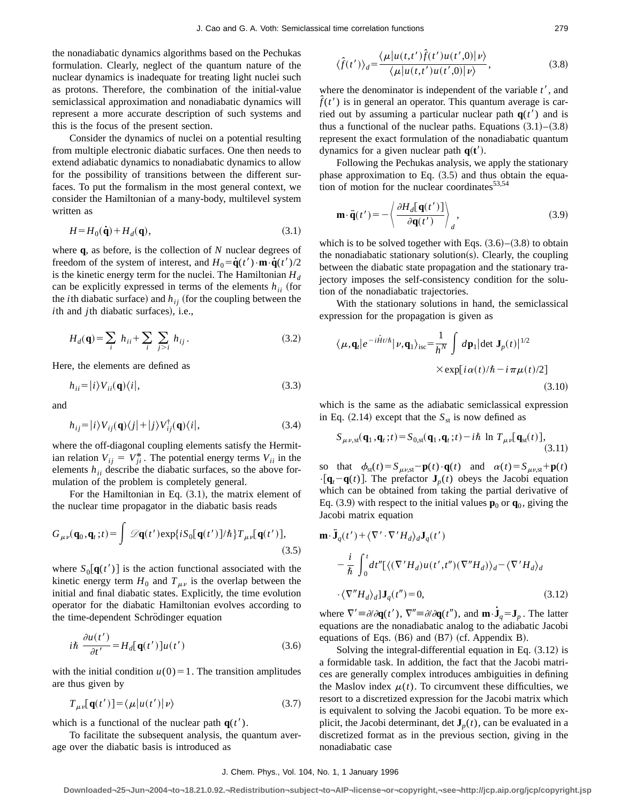the nonadiabatic dynamics algorithms based on the Pechukas formulation. Clearly, neglect of the quantum nature of the nuclear dynamics is inadequate for treating light nuclei such as protons. Therefore, the combination of the initial-value semiclassical approximation and nonadiabatic dynamics will represent a more accurate description of such systems and this is the focus of the present section.

Consider the dynamics of nuclei on a potential resulting from multiple electronic diabatic surfaces. One then needs to extend adiabatic dynamics to nonadiabatic dynamics to allow for the possibility of transitions between the different surfaces. To put the formalism in the most general context, we consider the Hamiltonian of a many-body, multilevel system written as

$$
H = H_0(\dot{\mathbf{q}}) + H_d(\mathbf{q}),\tag{3.1}
$$

where **q**, as before, is the collection of *N* nuclear degrees of freedom of the system of interest, and  $H_0 = \dot{\mathbf{q}}(t') \cdot \mathbf{m} \cdot \dot{\mathbf{q}}(t')/2$ is the kinetic energy term for the nuclei. The Hamiltonian  $H_d$ can be explicitly expressed in terms of the elements  $h_{ii}$  (for the *i*th diabatic surface) and  $h_{ij}$  (for the coupling between the  $i$ th and  $j$ th diabatic surfaces), i.e.,

$$
H_d(\mathbf{q}) = \sum_i h_{ii} + \sum_i \sum_{j>i} h_{ij}.
$$
 (3.2)

Here, the elements are defined as

$$
h_{ii} = |i\rangle V_{ii}(\mathbf{q})\langle i|,\tag{3.3}
$$

and

$$
h_{ij} = |i\rangle V_{ij}(\mathbf{q})\langle j| + |j\rangle V_{ij}^{\dagger}(\mathbf{q})\langle i|,\tag{3.4}
$$

where the off-diagonal coupling elements satisfy the Hermitian relation  $V_{ij} = V_{ji}^*$ . The potential energy terms  $V_{ii}$  in the elements  $h_{ii}$  describe the diabatic surfaces, so the above formulation of the problem is completely general.

For the Hamiltonian in Eq.  $(3.1)$ , the matrix element of the nuclear time propagator in the diabatic basis reads

$$
G_{\mu\nu}(\mathbf{q}_0, \mathbf{q}_t; t) = \int \mathcal{D}\mathbf{q}(t') \exp\{i S_0[\mathbf{q}(t')] / \hbar\} T_{\mu\nu}[\mathbf{q}(t')],
$$
\n(3.5)

where  $S_0[\mathbf{q}(t')]$  is the action functional associated with the kinetic energy term  $H_0$  and  $T_{\mu\nu}$  is the overlap between the initial and final diabatic states. Explicitly, the time evolution operator for the diabatic Hamiltonian evolves according to the time-dependent Schrödinger equation

$$
i\hbar \frac{\partial u(t')}{\partial t'} = H_d[\mathbf{q}(t')]u(t')
$$
\n(3.6)

with the initial condition  $u(0) = 1$ . The transition amplitudes are thus given by

$$
T_{\mu\nu}[\mathbf{q}(t')] = \langle \mu | u(t') | \nu \rangle \tag{3.7}
$$

which is a functional of the nuclear path  $q(t')$ .

To facilitate the subsequent analysis, the quantum average over the diabatic basis is introduced as

$$
\langle \hat{f}(t') \rangle_d = \frac{\langle \mu | u(t, t') \hat{f}(t') u(t', 0) | \nu \rangle}{\langle \mu | u(t, t') u(t', 0) | \nu \rangle}, \tag{3.8}
$$

where the denominator is independent of the variable *t'*, and  $\hat{f}(t')$  is in general an operator. This quantum average is carried out by assuming a particular nuclear path  $q(t')$  and is thus a functional of the nuclear paths. Equations  $(3.1)$ – $(3.8)$ represent the exact formulation of the nonadiabatic quantum dynamics for a given nuclear path  $q(t')$ .

Following the Pechukas analysis, we apply the stationary phase approximation to Eq.  $(3.5)$  and thus obtain the equation of motion for the nuclear coordinates $53,54$ 

$$
\mathbf{m} \cdot \ddot{\mathbf{q}}(t') = -\left\langle \frac{\partial H_d[\mathbf{q}(t')]}{\partial \mathbf{q}(t')} \right\rangle_d, \tag{3.9}
$$

which is to be solved together with Eqs.  $(3.6)$ – $(3.8)$  to obtain the nonadiabatic stationary solution(s). Clearly, the coupling between the diabatic state propagation and the stationary trajectory imposes the self-consistency condition for the solution of the nonadiabatic trajectories.

With the stationary solutions in hand, the semiclassical expression for the propagation is given as

$$
\langle \mu, \mathbf{q}_t | e^{-i\hat{H}t/\hbar} | \nu, \mathbf{q}_1 \rangle_{\text{isc}} = \frac{1}{h^N} \int d\mathbf{p}_1 |\det \mathbf{J}_p(t)|^{1/2}
$$

$$
\times \exp[i\alpha(t)/\hbar - i\pi\mu(t)/2]
$$
(3.10)

which is the same as the adiabatic semiclassical expression in Eq.  $(2.14)$  except that the  $S_{st}$  is now defined as

$$
S_{\mu\nu,\text{st}}(\mathbf{q}_1,\mathbf{q}_t;t) = S_{0,\text{st}}(\mathbf{q}_1,\mathbf{q}_t;t) - i\hbar \ln T_{\mu\nu}[\mathbf{q}_{\text{st}}(t)],
$$
\n(3.11)

so that  $\phi_{st}(t) = S_{\mu\nu, st} - \mathbf{p}(t) \cdot \mathbf{q}(t)$  and  $\alpha(t) = S_{\mu\nu, st} + \mathbf{p}(t)$  $\cdot$  [ $\mathbf{q}_t$  – $\mathbf{q}(t)$ ]. The prefactor  $\mathbf{J}_p(t)$  obeys the Jacobi equation which can be obtained from taking the partial derivative of Eq. (3.9) with respect to the initial values  $\mathbf{p}_0$  or  $\mathbf{q}_0$ , giving the Jacobi matrix equation

$$
\mathbf{m} \cdot \mathbf{\ddot{J}}_q(t') + \langle \nabla' \cdot \nabla' H_d \rangle_d \mathbf{J}_q(t')
$$
  
\n
$$
- \frac{i}{\hbar} \int_0^t dt'' [\langle (\nabla' H_d) u(t', t'') (\nabla'' H_d) \rangle_d - \langle \nabla' H_d \rangle_d
$$
  
\n
$$
\cdot \langle \nabla'' H_d \rangle_d] \mathbf{J}_q(t'') = 0,
$$
\n(3.12)

where  $\nabla' \equiv \partial/\partial q(t')$ ,  $\nabla'' \equiv \partial/\partial q(t'')$ , and  $\mathbf{m} \cdot \mathbf{\dot{J}}_q = \mathbf{J}_p$ . The latter equations are the nonadiabatic analog to the adiabatic Jacobi equations of Eqs.  $(B6)$  and  $(B7)$  (cf. Appendix B).

Solving the integral-differential equation in Eq.  $(3.12)$  is a formidable task. In addition, the fact that the Jacobi matrices are generally complex introduces ambiguities in defining the Maslov index  $\mu(t)$ . To circumvent these difficulties, we resort to a discretized expression for the Jacobi matrix which is equivalent to solving the Jacobi equation. To be more explicit, the Jacobi determinant, det  $J_p(t)$ , can be evaluated in a discretized format as in the previous section, giving in the nonadiabatic case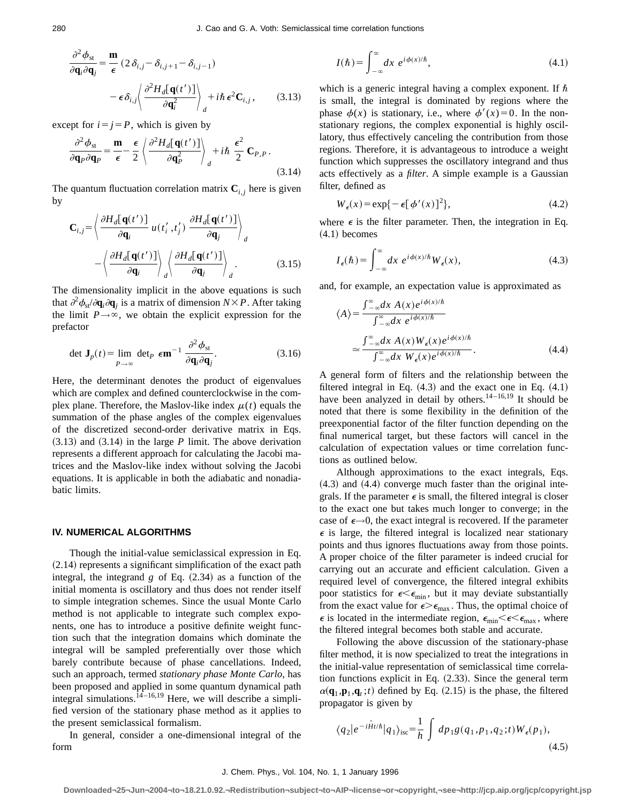$$
\frac{\partial^2 \phi_{\rm st}}{\partial \mathbf{q}_i \partial \mathbf{q}_j} = \frac{\mathbf{m}}{\epsilon} \left( 2 \delta_{i,j} - \delta_{i,j+1} - \delta_{i,j-1} \right)
$$

$$
- \epsilon \delta_{i,j} \left\langle \frac{\partial^2 H_d[\mathbf{q}(t')]}{\partial \mathbf{q}_i^2} \right\rangle_d + i \hbar \epsilon^2 \mathbf{C}_{i,j}, \qquad (3.13)
$$

except for  $i=j=P$ , which is given by

$$
\frac{\partial^2 \phi_{\rm st}}{\partial \mathbf{q}_P \partial \mathbf{q}_P} = \frac{\mathbf{m}}{\epsilon} - \frac{\epsilon}{2} \left\langle \frac{\partial^2 H_d[\mathbf{q}(t')] }{\partial \mathbf{q}_P^2} \right\rangle_d + i\hbar \frac{\epsilon^2}{2} \mathbf{C}_{P,P} \,. \tag{3.14}
$$

The quantum fluctuation correlation matrix  $C_{i,j}$  here is given by

$$
\mathbf{C}_{i,j} = \left\langle \frac{\partial H_d[\mathbf{q}(t')] }{\partial \mathbf{q}_i} u(t'_i, t'_j) \frac{\partial H_d[\mathbf{q}(t')] }{\partial \mathbf{q}_j} \right\rangle_d
$$

$$
- \left\langle \frac{\partial H_d[\mathbf{q}(t')] }{\partial \mathbf{q}_i} \right\rangle_d \left\langle \frac{\partial H_d[\mathbf{q}(t')] }{\partial \mathbf{q}_j} \right\rangle_d.
$$
(3.15)

The dimensionality implicit in the above equations is such that  $\partial^2 \phi_{st}/\partial \mathbf{q}_i \partial \mathbf{q}_j$  is a matrix of dimension  $N \times P$ . After taking the limit  $P \rightarrow \infty$ , we obtain the explicit expression for the prefactor

$$
\det \mathbf{J}_p(t) = \lim_{P \to \infty} \det_P \epsilon \mathbf{m}^{-1} \frac{\partial^2 \phi_{\text{st}}}{\partial \mathbf{q}_i \partial \mathbf{q}_j}.
$$
 (3.16)

Here, the determinant denotes the product of eigenvalues which are complex and defined counterclockwise in the complex plane. Therefore, the Maslov-like index  $\mu(t)$  equals the summation of the phase angles of the complex eigenvalues of the discretized second-order derivative matrix in Eqs.  $(3.13)$  and  $(3.14)$  in the large *P* limit. The above derivation represents a different approach for calculating the Jacobi matrices and the Maslov-like index without solving the Jacobi equations. It is applicable in both the adiabatic and nonadiabatic limits.

## **IV. NUMERICAL ALGORITHMS**

Though the initial-value semiclassical expression in Eq.  $(2.14)$  represents a significant simplification of the exact path integral, the integrand  $g$  of Eq.  $(2.34)$  as a function of the initial momenta is oscillatory and thus does not render itself to simple integration schemes. Since the usual Monte Carlo method is not applicable to integrate such complex exponents, one has to introduce a positive definite weight function such that the integration domains which dominate the integral will be sampled preferentially over those which barely contribute because of phase cancellations. Indeed, such an approach, termed *stationary phase Monte Carlo*, has been proposed and applied in some quantum dynamical path integral simulations.  $14 - 16,19$  Here, we will describe a simplified version of the stationary phase method as it applies to the present semiclassical formalism.

In general, consider a one-dimensional integral of the form

$$
I(\hbar) = \int_{-\infty}^{\infty} dx \ e^{i\phi(x)/\hbar}, \tag{4.1}
$$

which is a generic integral having a complex exponent. If  $\hbar$ is small, the integral is dominated by regions where the phase  $\phi(x)$  is stationary, i.e., where  $\phi'(x)=0$ . In the nonstationary regions, the complex exponential is highly oscillatory, thus effectively canceling the contribution from those regions. Therefore, it is advantageous to introduce a weight function which suppresses the oscillatory integrand and thus acts effectively as a *filter*. A simple example is a Gaussian filter, defined as

$$
W_{\epsilon}(x) = \exp\{-\epsilon[\phi'(x)]^2\},\tag{4.2}
$$

where  $\epsilon$  is the filter parameter. Then, the integration in Eq.  $(4.1)$  becomes

$$
I_{\epsilon}(\hbar) = \int_{-\infty}^{\infty} dx \ e^{i\phi(x)/\hbar} W_{\epsilon}(x), \tag{4.3}
$$

and, for example, an expectation value is approximated as

$$
\langle A \rangle = \frac{\int_{-\infty}^{\infty} dx \ A(x) e^{i\phi(x)/\hbar}}{\int_{-\infty}^{\infty} dx \ e^{i\phi(x)/\hbar}}
$$
  

$$
\approx \frac{\int_{-\infty}^{\infty} dx \ A(x) W_{\epsilon}(x) e^{i\phi(x)/\hbar}}{\int_{-\infty}^{\infty} dx \ W_{\epsilon}(x) e^{i\phi(x)/\hbar}}.
$$
(4.4)

A general form of filters and the relationship between the filtered integral in Eq.  $(4.3)$  and the exact one in Eq.  $(4.1)$ have been analyzed in detail by others.<sup>14-16,19</sup> It should be noted that there is some flexibility in the definition of the preexponential factor of the filter function depending on the final numerical target, but these factors will cancel in the calculation of expectation values or time correlation functions as outlined below.

Although approximations to the exact integrals, Eqs.  $(4.3)$  and  $(4.4)$  converge much faster than the original integrals. If the parameter  $\epsilon$  is small, the filtered integral is closer to the exact one but takes much longer to converge; in the case of  $\epsilon \rightarrow 0$ , the exact integral is recovered. If the parameter  $\epsilon$  is large, the filtered integral is localized near stationary points and thus ignores fluctuations away from those points. A proper choice of the filter parameter is indeed crucial for carrying out an accurate and efficient calculation. Given a required level of convergence, the filtered integral exhibits poor statistics for  $\epsilon < \epsilon_{\min}$ , but it may deviate substantially from the exact value for  $\epsilon > \epsilon_{\text{max}}$ . Thus, the optimal choice of  $\epsilon$  is located in the intermediate region,  $\epsilon_{\min} \leq \epsilon \leq \epsilon_{\max}$ , where the filtered integral becomes both stable and accurate.

Following the above discussion of the stationary-phase filter method, it is now specialized to treat the integrations in the initial-value representation of semiclassical time correlation functions explicit in Eq.  $(2.33)$ . Since the general term  $\alpha(\mathbf{q}_1, \mathbf{p}_1, \mathbf{q}_t; t)$  defined by Eq. (2.15) is the phase, the filtered propagator is given by

$$
\langle q_2|e^{-i\hat{H}t/\hbar}|q_1\rangle_{\rm isc} = \frac{1}{\hbar} \int dp_1 g(q_1, p_1, q_2; t) W_{\epsilon}(p_1),
$$
\n(4.5)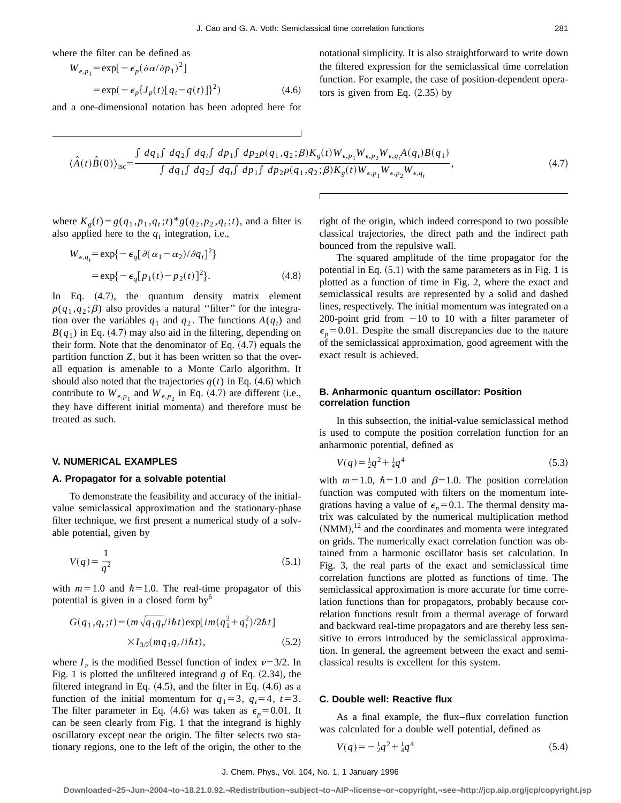where the filter can be defined as

$$
W_{\epsilon,p_1} = \exp[-\epsilon_p (\partial \alpha/\partial p_1)^2]
$$
  
= 
$$
\exp(-\epsilon_p \{J_p(t)[q_t - q(t)]\}^2)
$$
 (4.6)

and a one-dimensional notation has been adopted here for

notational simplicity. It is also straightforward to write down the filtered expression for the semiclassical time correlation function. For example, the case of position-dependent operators is given from Eq.  $(2.35)$  by

$$
\langle \hat{A}(t)\hat{B}(0)\rangle_{\rm{isc}} = \frac{\int dq_1 \int dq_2 \int dq_i \int dp_1 \int dp_2 \rho(q_1, q_2; \beta) K_g(t) W_{\epsilon, p_1} W_{\epsilon, p_2} W_{\epsilon, q_1} A(q_1) B(q_1)}{\int dq_1 \int dq_2 \int dq_i \int dp_1 \int dp_2 \rho(q_1, q_2; \beta) K_g(t) W_{\epsilon, p_1} W_{\epsilon, p_2} W_{\epsilon, q_1}},\tag{4.7}
$$

where  $K_g(t) = g(q_1, p_1, q_t; t)^* g(q_2, p_2, q_t; t)$ , and a filter is also applied here to the  $q_t$  integration, i.e.,

$$
W_{\epsilon,q_t} = \exp\{-\epsilon_q[\partial(\alpha_1 - \alpha_2)/\partial q_t]^2\}
$$
  
= 
$$
\exp\{-\epsilon_q[p_1(t) - p_2(t)]^2\}.
$$
 (4.8)

In Eq.  $(4.7)$ , the quantum density matrix element  $\rho(q_1, q_2; \beta)$  also provides a natural "filter" for the integration over the variables  $q_1$  and  $q_2$ . The functions  $A(q_t)$  and  $B(q_1)$  in Eq. (4.7) may also aid in the filtering, depending on their form. Note that the denominator of Eq.  $(4.7)$  equals the partition function *Z*, but it has been written so that the overall equation is amenable to a Monte Carlo algorithm. It should also noted that the trajectories  $q(t)$  in Eq. (4.6) which contribute to  $W_{\epsilon, p_1}$  and  $W_{\epsilon, p_2}$  in Eq. (4.7) are different (i.e., they have different initial momenta) and therefore must be treated as such.

## **V. NUMERICAL EXAMPLES**

## **A. Propagator for a solvable potential**

To demonstrate the feasibility and accuracy of the initialvalue semiclassical approximation and the stationary-phase filter technique, we first present a numerical study of a solvable potential, given by

$$
V(q) = \frac{1}{q^2} \tag{5.1}
$$

with  $m=1.0$  and  $\hbar=1.0$ . The real-time propagator of this potential is given in a closed form by<sup>6</sup>

$$
G(q_1, q_t; t) = (m\sqrt{q_1 q_t}/i\hbar t) \exp[i m(q_1^2 + q_t^2)/2\hbar t]
$$
  
× $I_{3/2}(mq_1 q_t/i\hbar t)$ , (5.2)

where  $I_{\nu}$  is the modified Bessel function of index  $\nu=3/2$ . In Fig. 1 is plotted the unfiltered integrand  $g$  of Eq.  $(2.34)$ , the filtered integrand in Eq.  $(4.5)$ , and the filter in Eq.  $(4.6)$  as a function of the initial momentum for  $q_1=3$ ,  $q_t=4$ ,  $t=3$ . The filter parameter in Eq. (4.6) was taken as  $\epsilon_p = 0.01$ . It can be seen clearly from Fig. 1 that the integrand is highly oscillatory except near the origin. The filter selects two stationary regions, one to the left of the origin, the other to the right of the origin, which indeed correspond to two possible classical trajectories, the direct path and the indirect path bounced from the repulsive wall.

The squared amplitude of the time propagator for the potential in Eq.  $(5.1)$  with the same parameters as in Fig. 1 is plotted as a function of time in Fig. 2, where the exact and semiclassical results are represented by a solid and dashed lines, respectively. The initial momentum was integrated on a 200-point grid from  $-10$  to 10 with a filter parameter of  $\epsilon_p$ =0.01. Despite the small discrepancies due to the nature of the semiclassical approximation, good agreement with the exact result is achieved.

# **B. Anharmonic quantum oscillator: Position correlation function**

In this subsection, the initial-value semiclassical method is used to compute the position correlation function for an anharmonic potential, defined as

$$
V(q) = \frac{1}{2}q^2 + \frac{1}{4}q^4\tag{5.3}
$$

with  $m=1.0$ ,  $\hbar=1.0$  and  $\beta=1.0$ . The position correlation function was computed with filters on the momentum integrations having a value of  $\epsilon_p = 0.1$ . The thermal density matrix was calculated by the numerical multiplication method  $(NMM)$ ,<sup>12</sup> and the coordinates and momenta were integrated on grids. The numerically exact correlation function was obtained from a harmonic oscillator basis set calculation. In Fig. 3, the real parts of the exact and semiclassical time correlation functions are plotted as functions of time. The semiclassical approximation is more accurate for time correlation functions than for propagators, probably because correlation functions result from a thermal average of forward and backward real-time propagators and are thereby less sensitive to errors introduced by the semiclassical approximation. In general, the agreement between the exact and semiclassical results is excellent for this system.

## **C. Double well: Reactive flux**

As a final example, the flux–flux correlation function was calculated for a double well potential, defined as

$$
V(q) = -\frac{1}{2}q^2 + \frac{1}{4}q^4\tag{5.4}
$$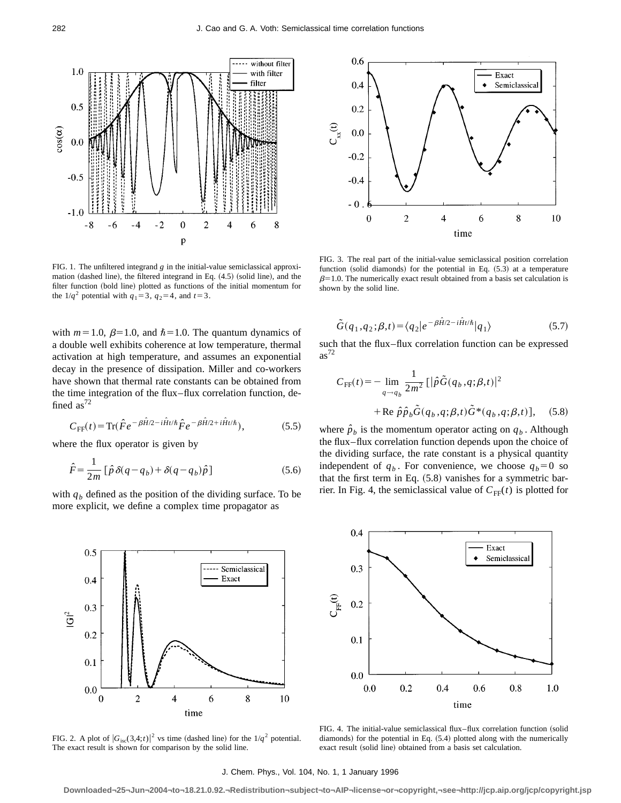$cos(\alpha)$ 

 $1.0$ 

 $0.5$ 

 $0.0$ 

 $-0.5$ 

 $-1.0$ 

- 8

----- without filter

filter

with filter

8

6

FIG. 1. The unfiltered integrand *g* in the initial-value semiclassical approximation (dashed line), the filtered integrand in Eq.  $(4.5)$  (solid line), and the filter function (bold line) plotted as functions of the initial momentum for the  $1/q^2$  potential with  $q_1 = 3$ ,  $q_2 = 4$ , and  $t = 3$ .

 $\boldsymbol{0}$ 

 $\mathbf{p}$ 

 $\overline{2}$ 

4

 $-2$ 

- 4

6

with  $m=1.0$ ,  $\beta=1.0$ , and  $\hbar=1.0$ . The quantum dynamics of a double well exhibits coherence at low temperature, thermal activation at high temperature, and assumes an exponential decay in the presence of dissipation. Miller and co-workers have shown that thermal rate constants can be obtained from the time integration of the flux–flux correlation function, defined  $as^{72}$ 

$$
C_{\rm FF}(t) = \text{Tr}(\hat{F}e^{-\beta \hat{H}/2 - i\hat{H}t/\hbar}\hat{F}e^{-\beta \hat{H}/2 + i\hat{H}t/\hbar}),
$$
(5.5)

where the flux operator is given by

$$
\hat{F} = \frac{1}{2m} \left[ \hat{p} \,\delta(q - q_b) + \delta(q - q_b)\hat{p} \right] \tag{5.6}
$$

with  $q<sub>b</sub>$  defined as the position of the dividing surface. To be more explicit, we define a complex time propagator as



FIG. 2. A plot of  $|G_{\text{isc}}(3,4;t)|^2$  vs time (dashed line) for the  $1/q^2$  potential. The exact result is shown for comparison by the solid line.



FIG. 3. The real part of the initial-value semiclassical position correlation function (solid diamonds) for the potential in Eq.  $(5.3)$  at a temperature  $\beta$ =1.0. The numerically exact result obtained from a basis set calculation is shown by the solid line.

$$
\tilde{G}(q_1, q_2; \beta, t) = \langle q_2 | e^{-\beta \hat{H}/2 - i\hat{H}t/\hbar} | q_1 \rangle \tag{5.7}
$$

such that the flux–flux correlation function can be expressed  $as^{72}$ 

$$
C_{\text{FF}}(t) = -\lim_{q \to q_b} \frac{1}{2m^2} \left[ \left| \hat{\rho} \tilde{G}(q_b, q; \beta, t) \right|^2 \right. \\ \left. + \text{Re} \left[ \hat{\rho} \hat{\rho}_b \tilde{G}(q_b, q; \beta, t) \tilde{G}^*(q_b, q; \beta, t) \right], \quad (5.8)
$$

where  $\hat{p}_b$  is the momentum operator acting on  $q_b$ . Although the flux–flux correlation function depends upon the choice of the dividing surface, the rate constant is a physical quantity independent of  $q_b$ . For convenience, we choose  $q_b=0$  so that the first term in Eq.  $(5.8)$  vanishes for a symmetric barrier. In Fig. 4, the semiclassical value of  $C_{FF}(t)$  is plotted for



FIG. 4. The initial-value semiclassical flux–flux correlation function (solid diamonds) for the potential in Eq.  $(5.4)$  plotted along with the numerically exact result (solid line) obtained from a basis set calculation.

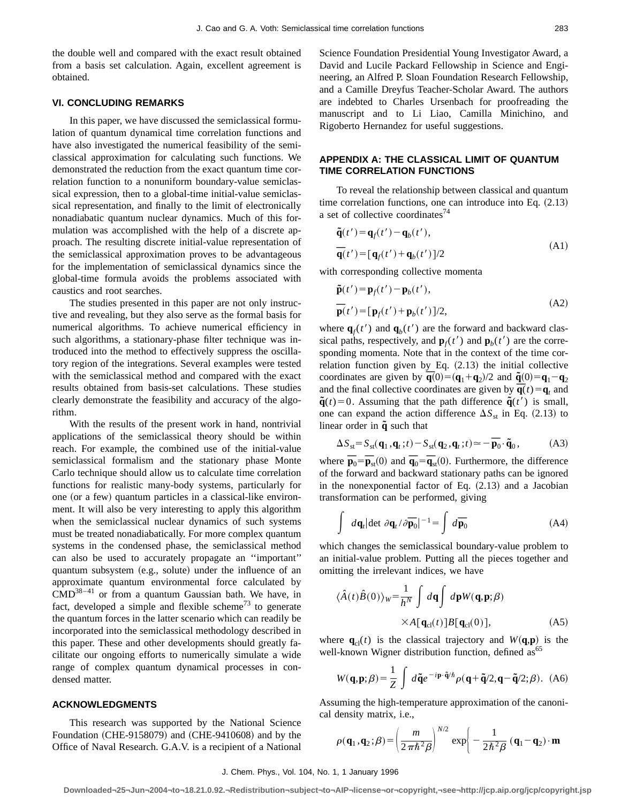#### **VI. CONCLUDING REMARKS**

obtained.

In this paper, we have discussed the semiclassical formulation of quantum dynamical time correlation functions and have also investigated the numerical feasibility of the semiclassical approximation for calculating such functions. We demonstrated the reduction from the exact quantum time correlation function to a nonuniform boundary-value semiclassical expression, then to a global-time initial-value semiclassical representation, and finally to the limit of electronically nonadiabatic quantum nuclear dynamics. Much of this formulation was accomplished with the help of a discrete approach. The resulting discrete initial-value representation of the semiclassical approximation proves to be advantageous for the implementation of semiclassical dynamics since the global-time formula avoids the problems associated with caustics and root searches.

from a basis set calculation. Again, excellent agreement is

The studies presented in this paper are not only instructive and revealing, but they also serve as the formal basis for numerical algorithms. To achieve numerical efficiency in such algorithms, a stationary-phase filter technique was introduced into the method to effectively suppress the oscillatory region of the integrations. Several examples were tested with the semiclassical method and compared with the exact results obtained from basis-set calculations. These studies clearly demonstrate the feasibility and accuracy of the algorithm.

With the results of the present work in hand, nontrivial applications of the semiclassical theory should be within reach. For example, the combined use of the initial-value semiclassical formalism and the stationary phase Monte Carlo technique should allow us to calculate time correlation functions for realistic many-body systems, particularly for one (or a few) quantum particles in a classical-like environment. It will also be very interesting to apply this algorithm when the semiclassical nuclear dynamics of such systems must be treated nonadiabatically. For more complex quantum systems in the condensed phase, the semiclassical method can also be used to accurately propagate an ''important'' quantum subsystem  $(e.g.,$  solute) under the influence of an approximate quantum environmental force calculated by  $CMD^{38-41}$  or from a quantum Gaussian bath. We have, in fact, developed a simple and flexible scheme<sup>73</sup> to generate the quantum forces in the latter scenario which can readily be incorporated into the semiclassical methodology described in this paper. These and other developments should greatly facilitate our ongoing efforts to numerically simulate a wide range of complex quantum dynamical processes in condensed matter.

#### **ACKNOWLEDGMENTS**

This research was supported by the National Science Foundation  $(CHE-9158079)$  and  $(CHE-9410608)$  and by the Office of Naval Research. G.A.V. is a recipient of a National Science Foundation Presidential Young Investigator Award, a David and Lucile Packard Fellowship in Science and Engineering, an Alfred P. Sloan Foundation Research Fellowship, and a Camille Dreyfus Teacher-Scholar Award. The authors are indebted to Charles Ursenbach for proofreading the manuscript and to Li Liao, Camilla Minichino, and Rigoberto Hernandez for useful suggestions.

# **APPENDIX A: THE CLASSICAL LIMIT OF QUANTUM TIME CORRELATION FUNCTIONS**

To reveal the relationship between classical and quantum time correlation functions, one can introduce into Eq.  $(2.13)$ a set of collective coordinates $^{74}$ 

$$
\tilde{\mathbf{q}}(t') = \mathbf{q}_f(t') - \mathbf{q}_b(t'),
$$
\n
$$
\overline{\mathbf{q}}(t') = [\mathbf{q}_f(t') + \mathbf{q}_b(t')] / 2
$$
\n(A1)

with corresponding collective momenta

$$
\tilde{\mathbf{p}}(t') = \mathbf{p}_f(t') - \mathbf{p}_b(t'),
$$
  
\n
$$
\overline{\mathbf{p}}(t') = [\mathbf{p}_f(t') + \mathbf{p}_b(t')]^{2},
$$
\n(A2)

where  $\mathbf{q}_f(t')$  and  $\mathbf{q}_b(t')$  are the forward and backward classical paths, respectively, and  $\mathbf{p}_f(t')$  and  $\mathbf{p}_b(t')$  are the corresponding momenta. Note that in the context of the time correlation function given by Eq.  $(2.13)$  the initial collective coordinates are given by  $\overline{q}(0) = (q_1 + q_2)/2$  and  $\tilde{q}(0) = q_1 - q_2$ coordinates are given by  $\mathbf{q}(0) - (\mathbf{q}_1 + \mathbf{q}_2)/2$  and  $\mathbf{q}(0) - \mathbf{q}_1 - \mathbf{q}_2$ <br>and the final collective coordinates are given by  $\overline{\mathbf{q}}(t) = \mathbf{q}_t$  and  $\tilde{\mathbf{q}}(t) = 0$ . Assuming that the path difference  $\tilde{\mathbf{q}}(t')$  is small, one can expand the action difference  $\Delta S_{st}$  in Eq. (2.13) to linear order in  $\tilde{q}$  such that

$$
\Delta S_{\rm st} = S_{\rm st}(\mathbf{q}_1, \mathbf{q}_t; t) - S_{\rm st}(\mathbf{q}_2, \mathbf{q}_t; t) \approx -\overline{\mathbf{p}}_0 \cdot \widetilde{\mathbf{q}}_0, \tag{A3}
$$

where  $\overline{\mathbf{p}}_0 = \overline{\mathbf{p}}_{st}(0)$  and  $\overline{\mathbf{q}}_0 = \overline{\mathbf{q}}_{st}(0)$ . Furthermore, the difference of the forward and backward stationary paths can be ignored in the nonexponential factor of Eq.  $(2.13)$  and a Jacobian transformation can be performed, giving

$$
\int d\mathbf{q}_t |\det \partial \mathbf{q}_t / \partial \overline{\mathbf{p}}_0|^{-1} = \int d\overline{\mathbf{p}}_0
$$
 (A4)

which changes the semiclassical boundary-value problem to an initial-value problem. Putting all the pieces together and omitting the irrelevant indices, we have

$$
\langle \hat{A}(t)\hat{B}(0)\rangle_{W} = \frac{1}{h^{N}} \int d\mathbf{q} \int d\mathbf{p} W(\mathbf{q}, \mathbf{p}; \beta)
$$

$$
\times A[\mathbf{q}_{cl}(t)] B[\mathbf{q}_{cl}(0)], \qquad (A5)
$$

where  $\mathbf{q}_{cl}(t)$  is the classical trajectory and  $W(\mathbf{q}, \mathbf{p})$  is the well-known Wigner distribution function, defined as<sup>65</sup>

$$
W(\mathbf{q}, \mathbf{p}; \beta) = \frac{1}{Z} \int d\tilde{\mathbf{q}} e^{-i\mathbf{p} \cdot \tilde{\mathbf{q}}/\hbar} \rho(\mathbf{q} + \tilde{\mathbf{q}}/2, \mathbf{q} - \tilde{\mathbf{q}}/2; \beta). \tag{A6}
$$

Assuming the high-temperature approximation of the canonical density matrix, i.e.,

$$
\rho(\mathbf{q}_1, \mathbf{q}_2; \beta) = \left(\frac{m}{2\pi\hbar^2\beta}\right)^{N/2} \exp\left(-\frac{1}{2\hbar^2\beta} \left(\mathbf{q}_1 - \mathbf{q}_2\right) \cdot \mathbf{m}\right)
$$

J. Chem. Phys., Vol. 104, No. 1, 1 January 1996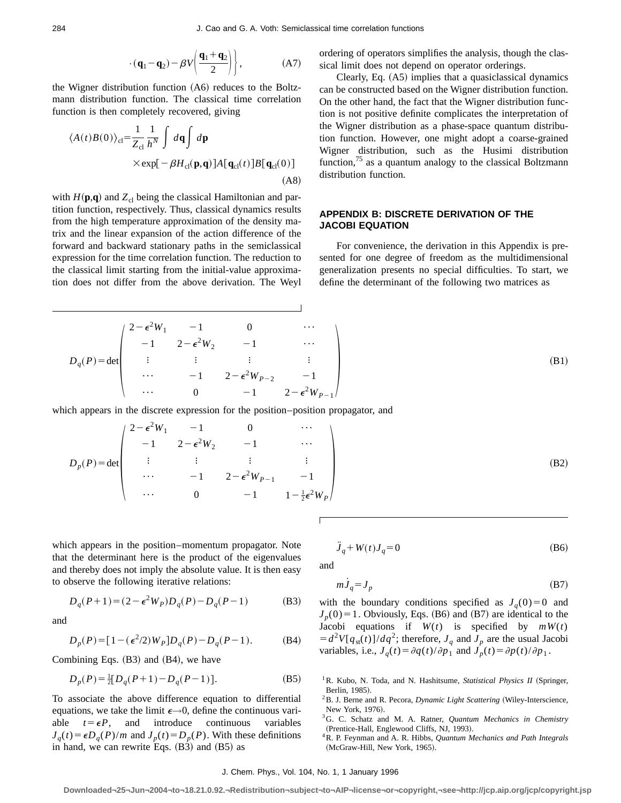$$
\cdot (\mathbf{q}_1 - \mathbf{q}_2) - \beta V \bigg( \frac{\mathbf{q}_1 + \mathbf{q}_2}{2} \bigg) \bigg\}, \tag{A7}
$$

the Wigner distribution function  $(A6)$  reduces to the Boltzmann distribution function. The classical time correlation function is then completely recovered, giving

$$
\langle A(t)B(0)\rangle_{\text{cl}} = \frac{1}{Z_{\text{cl}}} \frac{1}{h^N} \int d\mathbf{q} \int d\mathbf{p}
$$
  
× $\exp[-\beta H_{\text{cl}}(\mathbf{p}, \mathbf{q})]A[\mathbf{q}_{\text{cl}}(t)]B[\mathbf{q}_{\text{cl}}(0)]$  (A8)

with  $H(\mathbf{p},\mathbf{q})$  and  $Z_{cl}$  being the classical Hamiltonian and partition function, respectively. Thus, classical dynamics results from the high temperature approximation of the density matrix and the linear expansion of the action difference of the forward and backward stationary paths in the semiclassical expression for the time correlation function. The reduction to the classical limit starting from the initial-value approximation does not differ from the above derivation. The Weyl ordering of operators simplifies the analysis, though the classical limit does not depend on operator orderings.

Clearly, Eq.  $(A5)$  implies that a quasiclassical dynamics can be constructed based on the Wigner distribution function. On the other hand, the fact that the Wigner distribution function is not positive definite complicates the interpretation of the Wigner distribution as a phase-space quantum distribution function. However, one might adopt a coarse-grained Wigner distribution, such as the Husimi distribution function, $75$  as a quantum analogy to the classical Boltzmann distribution function.

# **APPENDIX B: DISCRETE DERIVATION OF THE JACOBI EQUATION**

For convenience, the derivation in this Appendix is presented for one degree of freedom as the multidimensional generalization presents no special difficulties. To start, we define the determinant of the following two matrices as

$$
D_q(P) = \det \begin{pmatrix} 2 - \epsilon^2 W_1 & -1 & 0 & \cdots \\ -1 & 2 - \epsilon^2 W_2 & -1 & \cdots \\ \vdots & \vdots & \vdots & \vdots \\ \cdots & -1 & 2 - \epsilon^2 W_{P-2} & -1 \\ \cdots & 0 & -1 & 2 - \epsilon^2 W_{P-1} \end{pmatrix}
$$
 (B1)

which appears in the discrete expression for the position–position propagator, and

$$
D_p(P) = \det \begin{pmatrix} 2 - \epsilon^2 W_1 & -1 & 0 & \cdots \\ -1 & 2 - \epsilon^2 W_2 & -1 & \cdots \\ \vdots & \vdots & \vdots & \vdots \\ \cdots & -1 & 2 - \epsilon^2 W_{P-1} & -1 \\ \cdots & 0 & -1 & 1 - \frac{1}{2} \epsilon^2 W_P \end{pmatrix}
$$
 (B2)

which appears in the position–momentum propagator. Note that the determinant here is the product of the eigenvalues and thereby does not imply the absolute value. It is then easy to observe the following iterative relations:

$$
D_q(P+1) = (2 - \epsilon^2 W_P) D_q(P) - D_q(P-1)
$$
 (B3)

and

$$
D_p(P) = [1 - (\epsilon^2/2)W_P]D_q(P) - D_q(P - 1).
$$
 (B4)

Combining Eqs.  $(B3)$  and  $(B4)$ , we have

$$
D_p(P) = \frac{1}{2} [D_q(P+1) - D_q(P-1)].
$$
 (B5)

To associate the above difference equation to differential equations, we take the limit  $\epsilon \rightarrow 0$ , define the continuous variables  $t = \epsilon P$ , and introduce continuous variables able  $t = \epsilon P$ , and introduce continuous  $J_q(t) = \epsilon D_q(P)/m$  and  $J_p(t) = D_p(P)$ . With these definitions in hand, we can rewrite Eqs.  $(B3)$  and  $(B5)$  as

$$
\ddot{J}_q + W(t)J_q = 0 \tag{B6}
$$

and

$$
m\dot{J}_q = J_p \tag{B7}
$$

with the boundary conditions specified as  $J_q(0)=0$  and  $J_p(0) = 1$ . Obviously, Eqs. (B6) and (B7) are identical to the Jacobi equations if  $W(t)$  is specified by  $mW(t)$  $= d^2 V[q_{st}(t)]/dq^2$ ; therefore,  $J_q$  and  $J_p$  are the usual Jacobi variables, i.e.,  $J_q(t) = \partial q(t)/\partial p_1$  and  $J_p(t) = \partial p(t)/\partial p_1$ .

- <sup>1</sup> R. Kubo, N. Toda, and N. Hashitsume, *Statistical Physics II* (Springer, Berlin, 1985).
- <sup>2</sup>B. J. Berne and R. Pecora, *Dynamic Light Scattering* (Wiley-Interscience, New York, 1976).
- 3G. C. Schatz and M. A. Ratner, *Quantum Mechanics in Chemistry* (Prentice-Hall, Englewood Cliffs, NJ, 1993).

4R. P. Feynman and A. R. Hibbs, *Quantum Mechanics and Path Integrals* (McGraw-Hill, New York, 1965).